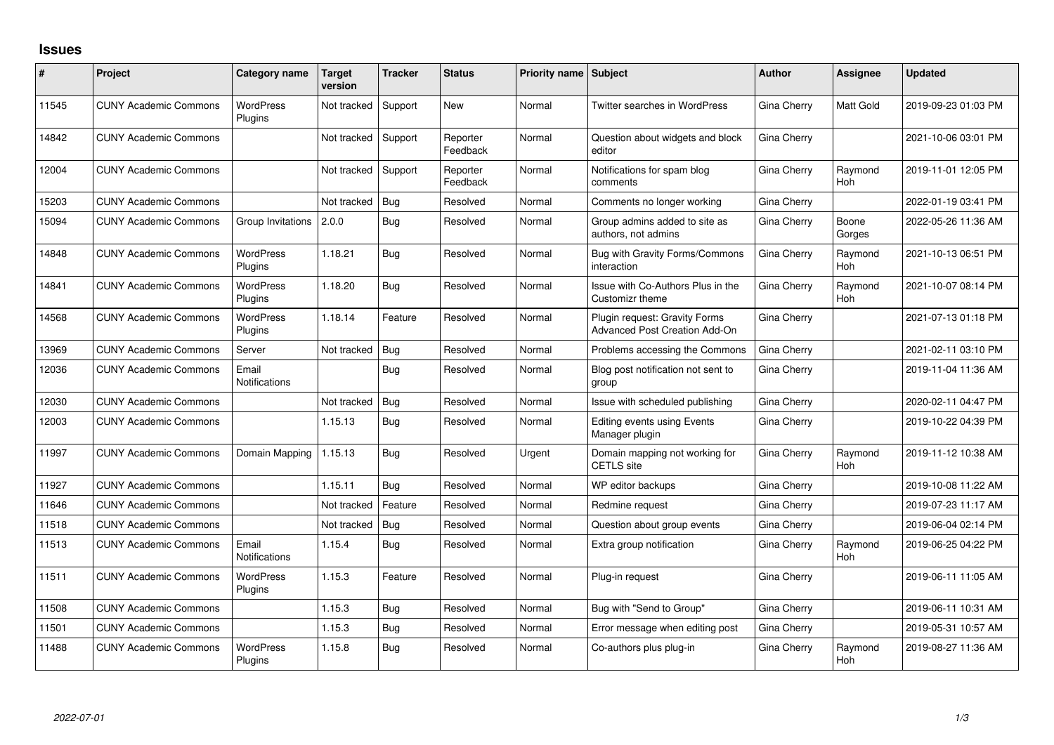## **Issues**

| #     | Project                      | <b>Category name</b>          | <b>Target</b><br>version | <b>Tracker</b> | <b>Status</b>        | <b>Priority name</b> | Subject                                                               | <b>Author</b> | <b>Assignee</b> | <b>Updated</b>      |
|-------|------------------------------|-------------------------------|--------------------------|----------------|----------------------|----------------------|-----------------------------------------------------------------------|---------------|-----------------|---------------------|
| 11545 | <b>CUNY Academic Commons</b> | <b>WordPress</b><br>Plugins   | Not tracked              | Support        | <b>New</b>           | Normal               | <b>Twitter searches in WordPress</b>                                  | Gina Cherry   | Matt Gold       | 2019-09-23 01:03 PM |
| 14842 | <b>CUNY Academic Commons</b> |                               | Not tracked              | Support        | Reporter<br>Feedback | Normal               | Question about widgets and block<br>editor                            | Gina Cherry   |                 | 2021-10-06 03:01 PM |
| 12004 | <b>CUNY Academic Commons</b> |                               | Not tracked              | Support        | Reporter<br>Feedback | Normal               | Notifications for spam blog<br>comments                               | Gina Cherry   | Raymond<br>Hoh  | 2019-11-01 12:05 PM |
| 15203 | <b>CUNY Academic Commons</b> |                               | Not tracked              | Bug            | Resolved             | Normal               | Comments no longer working                                            | Gina Cherry   |                 | 2022-01-19 03:41 PM |
| 15094 | <b>CUNY Academic Commons</b> | Group Invitations             | 2.0.0                    | <b>Bug</b>     | Resolved             | Normal               | Group admins added to site as<br>authors, not admins                  | Gina Cherry   | Boone<br>Gorges | 2022-05-26 11:36 AM |
| 14848 | <b>CUNY Academic Commons</b> | WordPress<br>Plugins          | 1.18.21                  | <b>Bug</b>     | Resolved             | Normal               | Bug with Gravity Forms/Commons<br>interaction                         | Gina Cherry   | Raymond<br>Hoh  | 2021-10-13 06:51 PM |
| 14841 | <b>CUNY Academic Commons</b> | <b>WordPress</b><br>Plugins   | 1.18.20                  | Bug            | Resolved             | Normal               | Issue with Co-Authors Plus in the<br>Customizr theme                  | Gina Cherry   | Raymond<br>Hoh  | 2021-10-07 08:14 PM |
| 14568 | <b>CUNY Academic Commons</b> | <b>WordPress</b><br>Plugins   | 1.18.14                  | Feature        | Resolved             | Normal               | Plugin request: Gravity Forms<br><b>Advanced Post Creation Add-On</b> | Gina Cherry   |                 | 2021-07-13 01:18 PM |
| 13969 | <b>CUNY Academic Commons</b> | Server                        | Not tracked              | <b>Bug</b>     | Resolved             | Normal               | Problems accessing the Commons                                        | Gina Cherry   |                 | 2021-02-11 03:10 PM |
| 12036 | <b>CUNY Academic Commons</b> | Email<br><b>Notifications</b> |                          | Bug            | Resolved             | Normal               | Blog post notification not sent to<br>group                           | Gina Cherry   |                 | 2019-11-04 11:36 AM |
| 12030 | <b>CUNY Academic Commons</b> |                               | Not tracked              | <b>Bug</b>     | Resolved             | Normal               | Issue with scheduled publishing                                       | Gina Cherry   |                 | 2020-02-11 04:47 PM |
| 12003 | <b>CUNY Academic Commons</b> |                               | 1.15.13                  | Bug            | Resolved             | Normal               | <b>Editing events using Events</b><br>Manager plugin                  | Gina Cherry   |                 | 2019-10-22 04:39 PM |
| 11997 | <b>CUNY Academic Commons</b> | Domain Mapping                | 1.15.13                  | Bug            | Resolved             | Urgent               | Domain mapping not working for<br><b>CETLS</b> site                   | Gina Cherry   | Raymond<br>Hoh  | 2019-11-12 10:38 AM |
| 11927 | <b>CUNY Academic Commons</b> |                               | 1.15.11                  | Bug            | Resolved             | Normal               | WP editor backups                                                     | Gina Cherry   |                 | 2019-10-08 11:22 AM |
| 11646 | <b>CUNY Academic Commons</b> |                               | Not tracked              | Feature        | Resolved             | Normal               | Redmine request                                                       | Gina Cherry   |                 | 2019-07-23 11:17 AM |
| 11518 | <b>CUNY Academic Commons</b> |                               | Not tracked              | Bug            | Resolved             | Normal               | Question about group events                                           | Gina Cherry   |                 | 2019-06-04 02:14 PM |
| 11513 | <b>CUNY Academic Commons</b> | Email<br>Notifications        | 1.15.4                   | <b>Bug</b>     | Resolved             | Normal               | Extra group notification                                              | Gina Cherry   | Raymond<br>Hoh  | 2019-06-25 04:22 PM |
| 11511 | <b>CUNY Academic Commons</b> | <b>WordPress</b><br>Plugins   | 1.15.3                   | Feature        | Resolved             | Normal               | Plug-in request                                                       | Gina Cherry   |                 | 2019-06-11 11:05 AM |
| 11508 | <b>CUNY Academic Commons</b> |                               | 1.15.3                   | Bug            | Resolved             | Normal               | Bug with "Send to Group"                                              | Gina Cherry   |                 | 2019-06-11 10:31 AM |
| 11501 | <b>CUNY Academic Commons</b> |                               | 1.15.3                   | Bug            | Resolved             | Normal               | Error message when editing post                                       | Gina Cherry   |                 | 2019-05-31 10:57 AM |
| 11488 | <b>CUNY Academic Commons</b> | <b>WordPress</b><br>Plugins   | 1.15.8                   | Bug            | Resolved             | Normal               | Co-authors plus plug-in                                               | Gina Cherry   | Raymond<br>Hoh  | 2019-08-27 11:36 AM |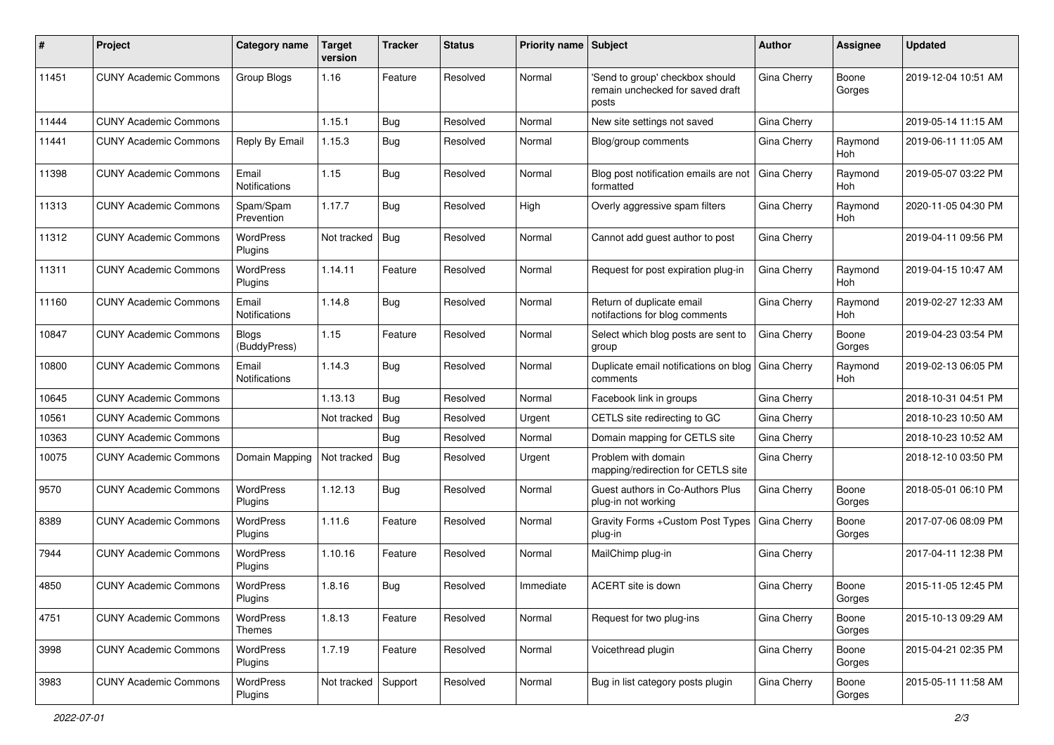| #     | Project                      | <b>Category name</b>          | Target<br>version | <b>Tracker</b> | <b>Status</b> | <b>Priority name Subject</b> |                                                                              | Author             | <b>Assignee</b> | <b>Updated</b>      |
|-------|------------------------------|-------------------------------|-------------------|----------------|---------------|------------------------------|------------------------------------------------------------------------------|--------------------|-----------------|---------------------|
| 11451 | <b>CUNY Academic Commons</b> | Group Blogs                   | 1.16              | Feature        | Resolved      | Normal                       | 'Send to group' checkbox should<br>remain unchecked for saved draft<br>posts | Gina Cherry        | Boone<br>Gorges | 2019-12-04 10:51 AM |
| 11444 | <b>CUNY Academic Commons</b> |                               | 1.15.1            | Bug            | Resolved      | Normal                       | New site settings not saved                                                  | Gina Cherry        |                 | 2019-05-14 11:15 AM |
| 11441 | <b>CUNY Academic Commons</b> | Reply By Email                | 1.15.3            | <b>Bug</b>     | Resolved      | Normal                       | Blog/group comments                                                          | Gina Cherry        | Raymond<br>Hoh  | 2019-06-11 11:05 AM |
| 11398 | <b>CUNY Academic Commons</b> | Email<br><b>Notifications</b> | 1.15              | <b>Bug</b>     | Resolved      | Normal                       | Blog post notification emails are not<br>formatted                           | Gina Cherry        | Raymond<br>Hoh  | 2019-05-07 03:22 PM |
| 11313 | <b>CUNY Academic Commons</b> | Spam/Spam<br>Prevention       | 1.17.7            | Bug            | Resolved      | High                         | Overly aggressive spam filters                                               | Gina Cherry        | Raymond<br>Hoh  | 2020-11-05 04:30 PM |
| 11312 | <b>CUNY Academic Commons</b> | <b>WordPress</b><br>Plugins   | Not tracked       | <b>Bug</b>     | Resolved      | Normal                       | Cannot add guest author to post                                              | Gina Cherry        |                 | 2019-04-11 09:56 PM |
| 11311 | <b>CUNY Academic Commons</b> | <b>WordPress</b><br>Plugins   | 1.14.11           | Feature        | Resolved      | Normal                       | Request for post expiration plug-in                                          | Gina Cherry        | Raymond<br>Hoh  | 2019-04-15 10:47 AM |
| 11160 | <b>CUNY Academic Commons</b> | Email<br>Notifications        | 1.14.8            | Bug            | Resolved      | Normal                       | Return of duplicate email<br>notifactions for blog comments                  | Gina Cherry        | Raymond<br>Hoh  | 2019-02-27 12:33 AM |
| 10847 | <b>CUNY Academic Commons</b> | <b>Blogs</b><br>(BuddyPress)  | 1.15              | Feature        | Resolved      | Normal                       | Select which blog posts are sent to<br>group                                 | Gina Cherry        | Boone<br>Gorges | 2019-04-23 03:54 PM |
| 10800 | <b>CUNY Academic Commons</b> | Email<br>Notifications        | 1.14.3            | Bug            | Resolved      | Normal                       | Duplicate email notifications on blog<br>comments                            | <b>Gina Cherry</b> | Raymond<br>Hoh  | 2019-02-13 06:05 PM |
| 10645 | <b>CUNY Academic Commons</b> |                               | 1.13.13           | Bug            | Resolved      | Normal                       | Facebook link in groups                                                      | Gina Cherry        |                 | 2018-10-31 04:51 PM |
| 10561 | <b>CUNY Academic Commons</b> |                               | Not tracked       | Bug            | Resolved      | Urgent                       | CETLS site redirecting to GC                                                 | Gina Cherry        |                 | 2018-10-23 10:50 AM |
| 10363 | <b>CUNY Academic Commons</b> |                               |                   | Bug            | Resolved      | Normal                       | Domain mapping for CETLS site                                                | Gina Cherry        |                 | 2018-10-23 10:52 AM |
| 10075 | <b>CUNY Academic Commons</b> | Domain Mapping                | Not tracked       | Bug            | Resolved      | Urgent                       | Problem with domain<br>mapping/redirection for CETLS site                    | Gina Cherry        |                 | 2018-12-10 03:50 PM |
| 9570  | <b>CUNY Academic Commons</b> | WordPress<br><b>Plugins</b>   | 1.12.13           | Bug            | Resolved      | Normal                       | Guest authors in Co-Authors Plus<br>plug-in not working                      | Gina Cherry        | Boone<br>Gorges | 2018-05-01 06:10 PM |
| 8389  | <b>CUNY Academic Commons</b> | WordPress<br>Plugins          | 1.11.6            | Feature        | Resolved      | Normal                       | Gravity Forms + Custom Post Types<br>plug-in                                 | Gina Cherry        | Boone<br>Gorges | 2017-07-06 08:09 PM |
| 7944  | <b>CUNY Academic Commons</b> | <b>WordPress</b><br>Plugins   | 1.10.16           | Feature        | Resolved      | Normal                       | MailChimp plug-in                                                            | Gina Cherry        |                 | 2017-04-11 12:38 PM |
| 4850  | <b>CUNY Academic Commons</b> | WordPress<br>Plugins          | 1.8.16            | Bug            | Resolved      | Immediate                    | ACERT site is down                                                           | Gina Cherry        | Boone<br>Gorges | 2015-11-05 12:45 PM |
| 4751  | <b>CUNY Academic Commons</b> | WordPress<br>Themes           | 1.8.13            | Feature        | Resolved      | Normal                       | Request for two plug-ins                                                     | Gina Cherry        | Boone<br>Gorges | 2015-10-13 09:29 AM |
| 3998  | <b>CUNY Academic Commons</b> | WordPress<br>Plugins          | 1.7.19            | Feature        | Resolved      | Normal                       | Voicethread plugin                                                           | Gina Cherry        | Boone<br>Gorges | 2015-04-21 02:35 PM |
| 3983  | <b>CUNY Academic Commons</b> | WordPress<br>Plugins          | Not tracked       | Support        | Resolved      | Normal                       | Bug in list category posts plugin                                            | Gina Cherry        | Boone<br>Gorges | 2015-05-11 11:58 AM |